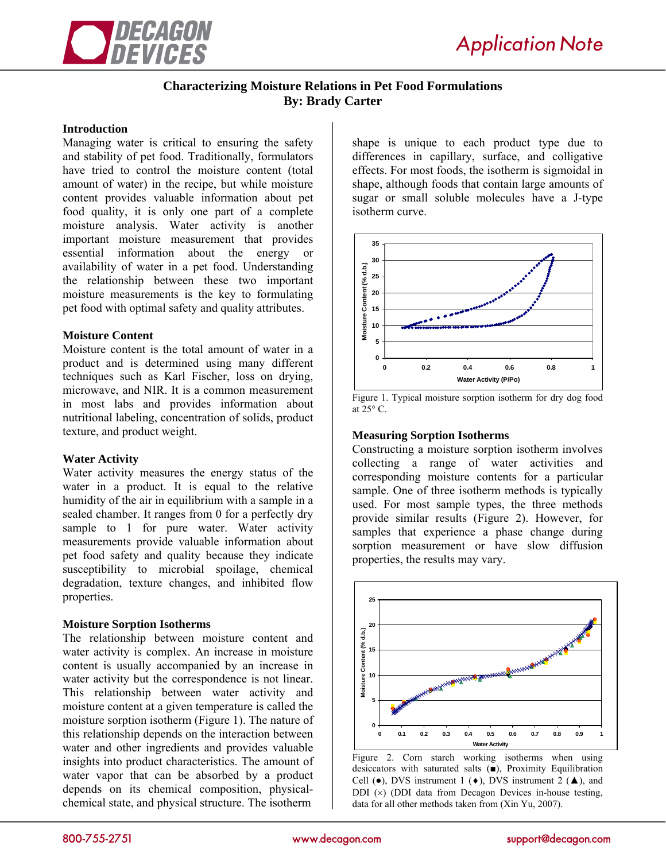

# **Characterizing Moisture Relations in Pet Food Formulations By: Brady Carter**

### **Introduction**

Managing water is critical to ensuring the safety and stability of pet food. Traditionally, formulators have tried to control the moisture content (total amount of water) in the recipe, but while moisture content provides valuable information about pet food quality, it is only one part of a complete moisture analysis. Water activity is another important moisture measurement that provides essential information about the energy or availability of water in a pet food. Understanding the relationship between these two important moisture measurements is the key to formulating pet food with optimal safety and quality attributes.

# **Moisture Content**

Moisture content is the total amount of water in a product and is determined using many different techniques such as Karl Fischer, loss on drying, microwave, and NIR. It is a common measurement in most labs and provides information about nutritional labeling, concentration of solids, product texture, and product weight.

# **Water Activity**

Water activity measures the energy status of the water in a product. It is equal to the relative humidity of the air in equilibrium with a sample in a sealed chamber. It ranges from 0 for a perfectly dry sample to 1 for pure water. Water activity measurements provide valuable information about pet food safety and quality because they indicate susceptibility to microbial spoilage, chemical degradation, texture changes, and inhibited flow properties.

# **Moisture Sorption Isotherms**

The relationship between moisture content and water activity is complex. An increase in moisture content is usually accompanied by an increase in water activity but the correspondence is not linear. This relationship between water activity and moisture content at a given temperature is called the moisture sorption isotherm (Figure 1). The nature of this relationship depends on the interaction between water and other ingredients and provides valuable insights into product characteristics. The amount of water vapor that can be absorbed by a product depends on its chemical composition, physicalchemical state, and physical structure. The isotherm

shape is unique to each product type due to differences in capillary, surface, and colligative effects. For most foods, the isotherm is sigmoidal in shape, although foods that contain large amounts of sugar or small soluble molecules have a J-type isotherm curve.



Figure 1. Typical moisture sorption isotherm for dry dog food at  $25^\circ$  C.

### **Measuring Sorption Isotherms**

Constructing a moisture sorption isotherm involves collecting a range of water activities and corresponding moisture contents for a particular sample. One of three isotherm methods is typically used. For most sample types, the three methods provide similar results (Figure 2). However, for samples that experience a phase change during sorption measurement or have slow diffusion properties, the results may vary.



Figure 2. Corn starch working isotherms when using desiccators with saturated salts  $(\blacksquare)$ , Proximity Equilibration Cell ( $\bullet$ ), DVS instrument 1 ( $\bullet$ ), DVS instrument 2 ( $\blacktriangle$ ), and DDI  $(x)$  (DDI data from Decagon Devices in-house testing, data for all other methods taken from (Xin Yu, 2007).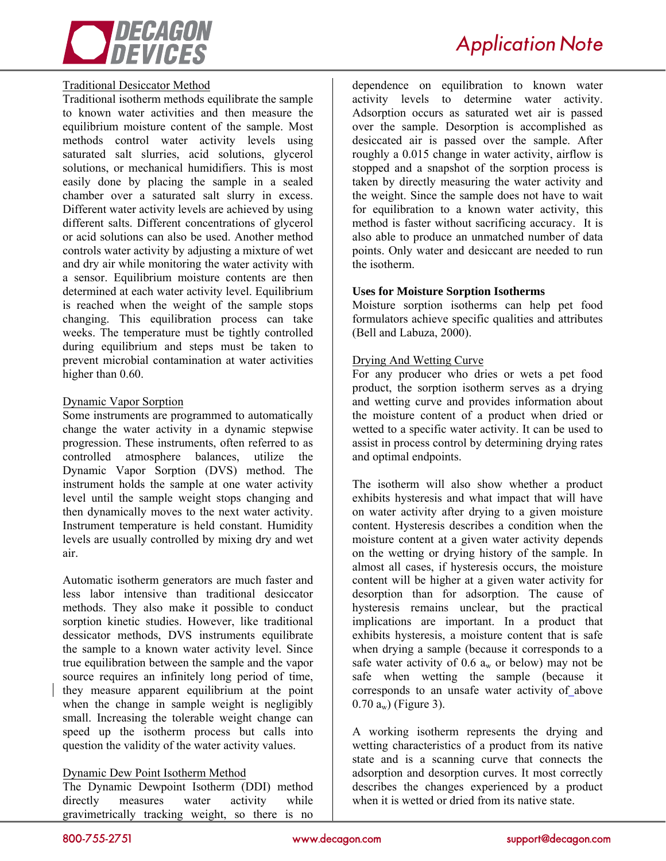

# *Application Note*

# Traditional Desiccator Method

Traditional isotherm methods equilibrate the sample to known water activities and then measure the equilibrium moisture content of the sample. Most methods control water activity levels using saturated salt slurries, acid solutions, glycerol solutions, or mechanical humidifiers. This is most easily done by placing the sample in a sealed chamber over a saturated salt slurry in excess. Different water activity levels are achieved by using different salts. Different concentrations of glycerol or acid solutions can also be used. Another method controls water activity by adjusting a mixture of wet and dry air while monitoring the water activity with a sensor. Equilibrium moisture contents are then determined at each water activity level. Equilibrium is reached when the weight of the sample stops changing. This equilibration process can take weeks. The temperature must be tightly controlled during equilibrium and steps must be taken to prevent microbial contamination at water activities higher than  $0.60$ .

# Dynamic Vapor Sorption

Some instruments are programmed to automatically change the water activity in a dynamic stepwise progression. These instruments, often referred to as controlled atmosphere balances, utilize the Dynamic Vapor Sorption (DVS) method. The instrument holds the sample at one water activity level until the sample weight stops changing and then dynamically moves to the next water activity. Instrument temperature is held constant. Humidity levels are usually controlled by mixing dry and wet air.

Automatic isotherm generators are much faster and less labor intensive than traditional desiccator methods. They also make it possible to conduct sorption kinetic studies. However, like traditional dessicator methods, DVS instruments equilibrate the sample to a known water activity level. Since true equilibration between the sample and the vapor source requires an infinitely long period of time, they measure apparent equilibrium at the point when the change in sample weight is negligibly small. Increasing the tolerable weight change can speed up the isotherm process but calls into question the validity of the water activity values.

# Dynamic Dew Point Isotherm Method

The Dynamic Dewpoint Isotherm (DDI) method directly measures water activity while gravimetrically tracking weight, so there is no

dependence on equilibration to known water activity levels to determine water activity. Adsorption occurs as saturated wet air is passed over the sample. Desorption is accomplished as desiccated air is passed over the sample. After roughly a 0.015 change in water activity, airflow is stopped and a snapshot of the sorption process is taken by directly measuring the water activity and the weight. Since the sample does not have to wait for equilibration to a known water activity, this method is faster without sacrificing accuracy. It is also able to produce an unmatched number of data points. Only water and desiccant are needed to run the isotherm.

# **Uses for Moisture Sorption Isotherms**

Moisture sorption isotherms can help pet food formulators achieve specific qualities and attributes (Bell and Labuza, 2000).

# Drying And Wetting Curve

For any producer who dries or wets a pet food product, the sorption isotherm serves as a drying and wetting curve and provides information about the moisture content of a product when dried or wetted to a specific water activity. It can be used to assist in process control by determining drying rates and optimal endpoints.

The isotherm will also show whether a product exhibits hysteresis and what impact that will have on water activity after drying to a given moisture content. Hysteresis describes a condition when the moisture content at a given water activity depends on the wetting or drying history of the sample. In almost all cases, if hysteresis occurs, the moisture content will be higher at a given water activity for desorption than for adsorption. The cause of hysteresis remains unclear, but the practical implications are important. In a product that exhibits hysteresis, a moisture content that is safe when drying a sample (because it corresponds to a safe water activity of 0.6  $a_w$  or below) may not be safe when wetting the sample (because it corresponds to an unsafe water activity of above  $(0.70 \text{ a}_{\text{w}})$  (Figure 3).

A working isotherm represents the drying and wetting characteristics of a product from its native state and is a scanning curve that connects the adsorption and desorption curves. It most correctly describes the changes experienced by a product when it is wetted or dried from its native state.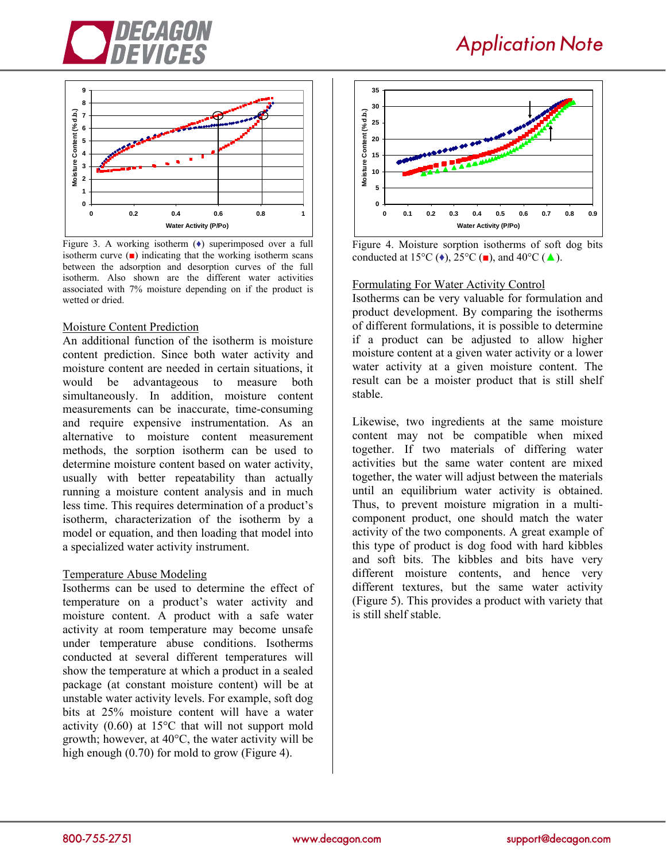





Figure 3. A working isotherm  $(\bullet)$  superimposed over a full isotherm curve  $($  $\blacksquare)$  indicating that the working isotherm scans between the adsorption and desorption curves of the full isotherm. Also shown are the different water activities associated with 7% moisture depending on if the product is wetted or dried.

#### Moisture Content Prediction

An additional function of the isotherm is moisture content prediction. Since both water activity and moisture content are needed in certain situations, it would be advantageous to measure both simultaneously. In addition, moisture content measurements can be inaccurate, time-consuming and require expensive instrumentation. As an alternative to moisture content measurement methods, the sorption isotherm can be used to determine moisture content based on water activity, usually with better repeatability than actually running a moisture content analysis and in much less time. This requires determination of a product's isotherm, characterization of the isotherm by a model or equation, and then loading that model into a specialized water activity instrument.

#### Temperature Abuse Modeling

Isotherms can be used to determine the effect of temperature on a product's water activity and moisture content. A product with a safe water activity at room temperature may become unsafe under temperature abuse conditions. Isotherms conducted at several different temperatures will show the temperature at which a product in a sealed package (at constant moisture content) will be at unstable water activity levels. For example, soft dog bits at 25% moisture content will have a water activity (0.60) at 15°C that will not support mold growth; however, at 40°C, the water activity will be high enough (0.70) for mold to grow (Figure 4).



Figure 4. Moisture sorption isotherms of soft dog bits conducted at 15 $^{\circ}$ C ( $\bullet$ ), 25 $^{\circ}$ C ( $\bullet$ ), and 40 $^{\circ}$ C ( $\blacktriangle$ ).

#### Formulating For Water Activity Control

Isotherms can be very valuable for formulation and product development. By comparing the isotherms of different formulations, it is possible to determine if a product can be adjusted to allow higher moisture content at a given water activity or a lower water activity at a given moisture content. The result can be a moister product that is still shelf stable.

Likewise, two ingredients at the same moisture content may not be compatible when mixed together. If two materials of differing water activities but the same water content are mixed together, the water will adjust between the materials until an equilibrium water activity is obtained. Thus, to prevent moisture migration in a multicomponent product, one should match the water activity of the two components. A great example of this type of product is dog food with hard kibbles and soft bits. The kibbles and bits have very different moisture contents, and hence very different textures, but the same water activity (Figure 5). This provides a product with variety that is still shelf stable.